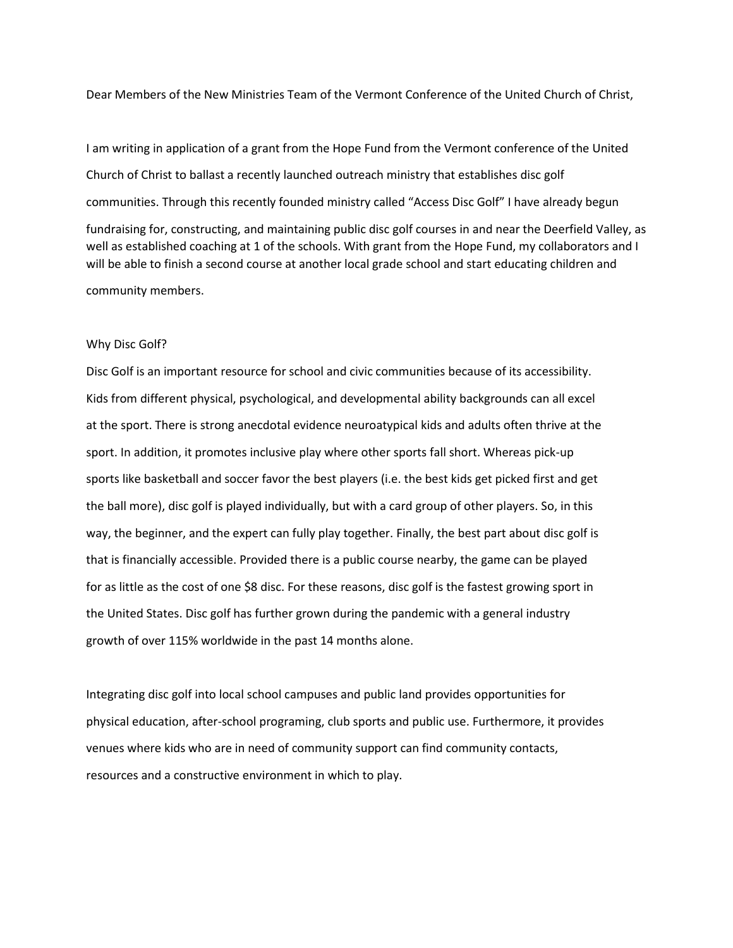Dear Members of the New Ministries Team of the Vermont Conference of the United Church of Christ,

I am writing in application of a grant from the Hope Fund from the Vermont conference of the United Church of Christ to ballast a recently launched outreach ministry that establishes disc golf communities. Through this recently founded ministry called "Access Disc Golf" I have already begun fundraising for, constructing, and maintaining public disc golf courses in and near the Deerfield Valley, as well as established coaching at 1 of the schools. With grant from the Hope Fund, my collaborators and I will be able to finish a second course at another local grade school and start educating children and community members.

## Why Disc Golf?

Disc Golf is an important resource for school and civic communities because of its accessibility. Kids from different physical, psychological, and developmental ability backgrounds can all excel at the sport. There is strong anecdotal evidence neuroatypical kids and adults often thrive at the sport. In addition, it promotes inclusive play where other sports fall short. Whereas pick-up sports like basketball and soccer favor the best players (i.e. the best kids get picked first and get the ball more), disc golf is played individually, but with a card group of other players. So, in this way, the beginner, and the expert can fully play together. Finally, the best part about disc golf is that is financially accessible. Provided there is a public course nearby, the game can be played for as little as the cost of one \$8 disc. For these reasons, disc golf is the fastest growing sport in the United States. Disc golf has further grown during the pandemic with a general industry growth of over 115% worldwide in the past 14 months alone.

Integrating disc golf into local school campuses and public land provides opportunities for physical education, after-school programing, club sports and public use. Furthermore, it provides venues where kids who are in need of community support can find community contacts, resources and a constructive environment in which to play.